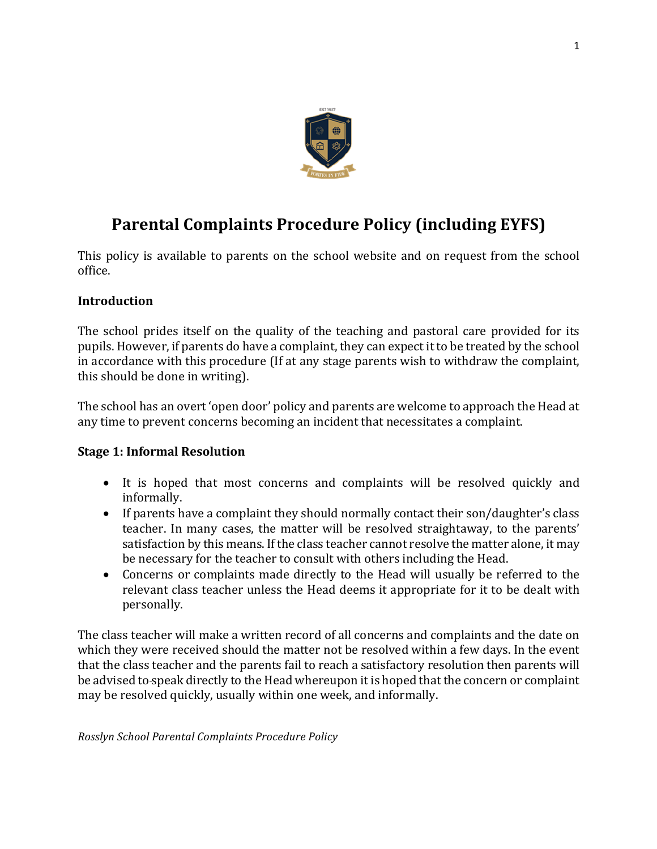

# **Parental Complaints Procedure Policy (including EYFS)**

This policy is available to parents on the school website and on request from the school office.

# **Introduction**

The school prides itself on the quality of the teaching and pastoral care provided for its pupils. However, if parents do have a complaint, they can expect it to be treated by the school in accordance with this procedure (If at any stage parents wish to withdraw the complaint, this should be done in writing).

The school has an overt 'open door' policy and parents are welcome to approach the Head at any time to prevent concerns becoming an incident that necessitates a complaint.

#### **Stage 1: Informal Resolution**

- It is hoped that most concerns and complaints will be resolved quickly and informally.
- If parents have a complaint they should normally contact their son/daughter's class teacher. In many cases, the matter will be resolved straightaway, to the parents' satisfaction by this means. If the class teacher cannot resolve the matter alone, it may be necessary for the teacher to consult with others including the Head.
- Concerns or complaints made directly to the Head will usually be referred to the relevant class teacher unless the Head deems it appropriate for it to be dealt with personally.

The class teacher will make a written record of all concerns and complaints and the date on which they were received should the matter not be resolved within a few days. In the event that the class teacher and the parents fail to reach a satisfactory resolution then parents will be advised to-speak directly to the Head whereupon it is hoped that the concern or complaint may be resolved quickly, usually within one week, and informally.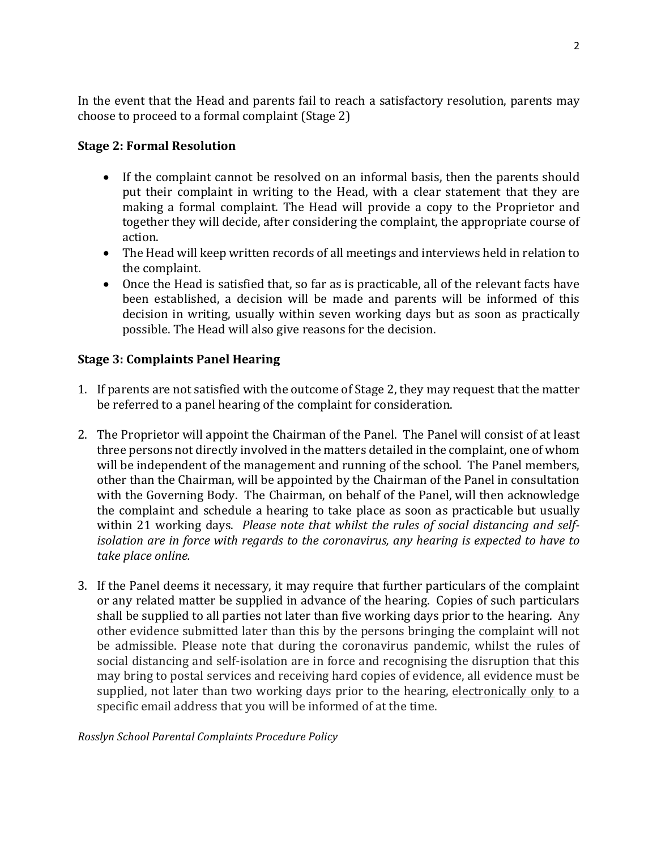In the event that the Head and parents fail to reach a satisfactory resolution, parents may choose to proceed to a formal complaint (Stage 2)

# **Stage 2: Formal Resolution**

- If the complaint cannot be resolved on an informal basis, then the parents should put their complaint in writing to the Head, with a clear statement that they are making a formal complaint. The Head will provide a copy to the Proprietor and together they will decide, after considering the complaint, the appropriate course of action.
- The Head will keep written records of all meetings and interviews held in relation to the complaint.
- Once the Head is satisfied that, so far as is practicable, all of the relevant facts have been established, a decision will be made and parents will be informed of this decision in writing, usually within seven working days but as soon as practically possible. The Head will also give reasons for the decision.

# **Stage 3: Complaints Panel Hearing**

- 1. If parents are not satisfied with the outcome of Stage 2, they may request that the matter be referred to a panel hearing of the complaint for consideration.
- 2. The Proprietor will appoint the Chairman of the Panel. The Panel will consist of at least three persons not directly involved in the matters detailed in the complaint, one of whom will be independent of the management and running of the school. The Panel members, other than the Chairman, will be appointed by the Chairman of the Panel in consultation with the Governing Body. The Chairman, on behalf of the Panel, will then acknowledge the complaint and schedule a hearing to take place as soon as practicable but usually within 21 working days. Please note that whilst the rules of social distancing and self*isolation are in force with regards to the coronavirus, any hearing is expected to have to take place online.*
- 3. If the Panel deems it necessary, it may require that further particulars of the complaint or any related matter be supplied in advance of the hearing. Copies of such particulars shall be supplied to all parties not later than five working days prior to the hearing. Any other evidence submitted later than this by the persons bringing the complaint will not be admissible. Please note that during the coronavirus pandemic, whilst the rules of social distancing and self-isolation are in force and recognising the disruption that this may bring to postal services and receiving hard copies of evidence, all evidence must be supplied, not later than two working days prior to the hearing, electronically only to a specific email address that you will be informed of at the time.

#### *Rosslyn School Parental Complaints Procedure Policy*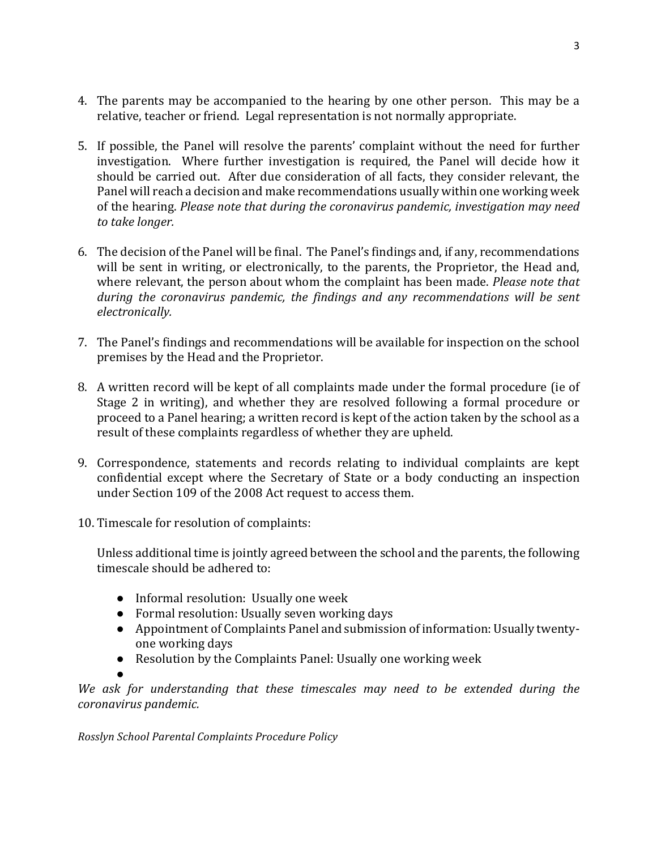- 4. The parents may be accompanied to the hearing by one other person. This may be a relative, teacher or friend. Legal representation is not normally appropriate.
- 5. If possible, the Panel will resolve the parents' complaint without the need for further investigation. Where further investigation is required, the Panel will decide how it should be carried out. After due consideration of all facts, they consider relevant, the Panel will reach a decision and make recommendations usually within one working week of the hearing. *Please note that during the coronavirus pandemic, investigation may need to take longer.*
- 6. The decision of the Panel will be final. The Panel's findings and, if any, recommendations will be sent in writing, or electronically, to the parents, the Proprietor, the Head and, where relevant, the person about whom the complaint has been made. *Please note that* during the coronavirus pandemic, the findings and any recommendations will be sent *electronically.*
- 7. The Panel's findings and recommendations will be available for inspection on the school premises by the Head and the Proprietor.
- 8. A written record will be kept of all complaints made under the formal procedure (ie of Stage 2 in writing), and whether they are resolved following a formal procedure or proceed to a Panel hearing; a written record is kept of the action taken by the school as a result of these complaints regardless of whether they are upheld.
- 9. Correspondence, statements and records relating to individual complaints are kept confidential except where the Secretary of State or a body conducting an inspection under Section 109 of the 2008 Act request to access them.
- 10. Timescale for resolution of complaints:

Unless additional time is jointly agreed between the school and the parents, the following timescale should be adhered to:

- Informal resolution: Usually one week
- Formal resolution: Usually seven working days
- Appointment of Complaints Panel and submission of information: Usually twentyone working days
- Resolution by the Complaints Panel: Usually one working week

●

We ask for understanding that these timescales may need to be extended during the *coronavirus pandemic.*

*Rosslyn School Parental Complaints Procedure Policy*